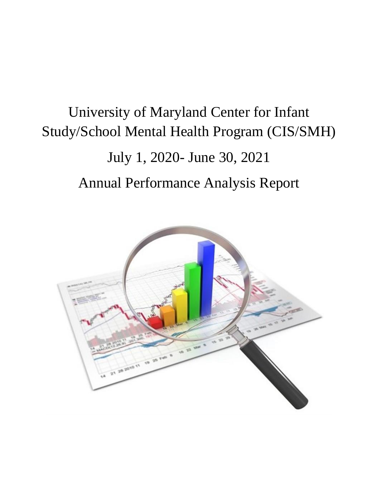# University of Maryland Center for Infant Study/School Mental Health Program (CIS/SMH)

# July 1, 2020- June 30, 2021

# Annual Performance Analysis Report

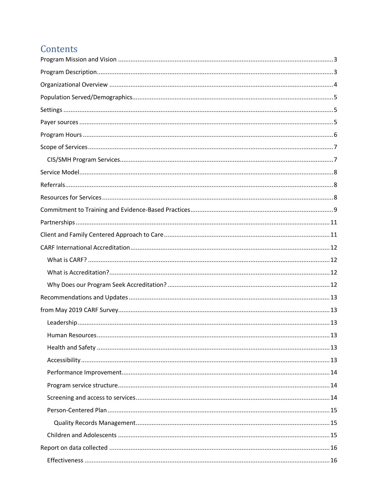# Contents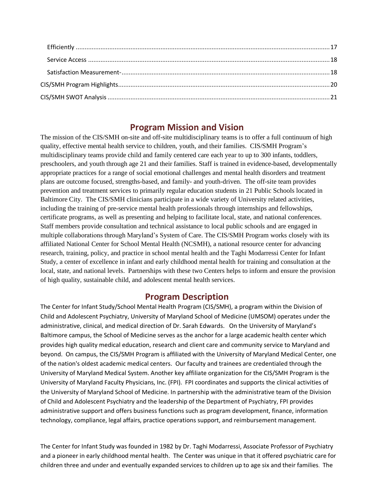## **Program Mission and Vision**

<span id="page-2-0"></span>The mission of the CIS/SMH on-site and off-site multidisciplinary teams is to offer a full continuum of high quality, effective mental health service to children, youth, and their families. CIS/SMH Program's multidisciplinary teams provide child and family centered care each year to up to 300 infants, toddlers, preschoolers, and youth through age 21 and their families. Staff is trained in evidence-based, developmentally appropriate practices for a range of social emotional challenges and mental health disorders and treatment plans are outcome focused, strengths-based, and family- and youth-driven. The off-site team provides prevention and treatment services to primarily regular education students in 21 Public Schools located in Baltimore City. The CIS/SMH clinicians participate in a wide variety of University related activities, including the training of pre-service mental health professionals through internships and fellowships, certificate programs, as well as presenting and helping to facilitate local, state, and national conferences. Staff members provide consultation and technical assistance to local public schools and are engaged in multiple collaborations through Maryland's System of Care. The CIS/SMH Program works closely with its affiliated National Center for School Mental Health (NCSMH), a national resource center for advancing research, training, policy, and practice in school mental health and the Taghi Modarressi Center for Infant Study, a center of excellence in infant and early childhood mental health for training and consultation at the local, state, and national levels. Partnerships with these two Centers helps to inform and ensure the provision of high quality, sustainable child, and adolescent mental health services.

## **Program Description**

<span id="page-2-1"></span>The Center for Infant Study/School Mental Health Program (CIS/SMH), a program within the Division of Child and Adolescent Psychiatry, University of Maryland School of Medicine (UMSOM) operates under the administrative, clinical, and medical direction of Dr. Sarah Edwards. On the University of Maryland's Baltimore campus, the School of Medicine serves as the anchor for a large academic health center which provides high quality medical education, research and client care and community service to Maryland and beyond. On campus, the CIS/SMH Program is affiliated with the University of Maryland Medical Center, one of the nation's oldest academic medical centers. Our faculty and trainees are credentialed through the University of Maryland Medical System. Another key affiliate organization for the CIS/SMH Program is the University of Maryland Faculty Physicians, Inc. (FPI). FPI coordinates and supports the clinical activities of the University of Maryland School of Medicine. In partnership with the administrative team of the Division of Child and Adolescent Psychiatry and the leadership of the Department of Psychiatry, FPI provides administrative support and offers business functions such as program development, finance, information technology, compliance, legal affairs, practice operations support, and reimbursement management.

The Center for Infant Study was founded in 1982 by Dr. Taghi Modarressi, Associate Professor of Psychiatry and a pioneer in early childhood mental health. The Center was unique in that it offered psychiatric care for children three and under and eventually expanded services to children up to age six and their families. The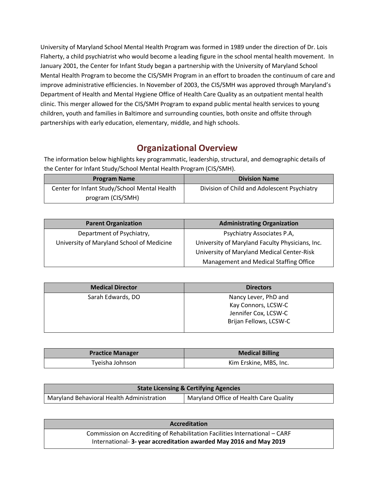University of Maryland School Mental Health Program was formed in 1989 under the direction of Dr. Lois Flaherty, a child psychiatrist who would become a leading figure in the school mental health movement. In January 2001, the Center for Infant Study began a partnership with the University of Maryland School Mental Health Program to become the CIS/SMH Program in an effort to broaden the continuum of care and improve administrative efficiencies. In November of 2003, the CIS/SMH was approved through Maryland's Department of Health and Mental Hygiene Office of Health Care Quality as an outpatient mental health clinic. This merger allowed for the CIS/SMH Program to expand public mental health services to young children, youth and families in Baltimore and surrounding counties, both onsite and offsite through partnerships with early education, elementary, middle, and high schools.

# **Organizational Overview**

<span id="page-3-0"></span>The information below highlights key programmatic, leadership, structural, and demographic details of the Center for Infant Study/School Mental Health Program (CIS/SMH).

| <b>Program Name</b>                          | <b>Division Name</b>                        |
|----------------------------------------------|---------------------------------------------|
| Center for Infant Study/School Mental Health | Division of Child and Adolescent Psychiatry |
| program (CIS/SMH)                            |                                             |

| <b>Parent Organization</b>                | <b>Administrating Organization</b>              |
|-------------------------------------------|-------------------------------------------------|
| Department of Psychiatry,                 | Psychiatry Associates P.A,                      |
| University of Maryland School of Medicine | University of Maryland Faculty Physicians, Inc. |
|                                           | University of Maryland Medical Center-Risk      |
|                                           | Management and Medical Staffing Office          |

| <b>Medical Director</b> | <b>Directors</b>       |
|-------------------------|------------------------|
| Sarah Edwards, DO       | Nancy Lever, PhD and   |
|                         | Kay Connors, LCSW-C    |
|                         | Jennifer Cox, LCSW-C   |
|                         | Brijan Fellows, LCSW-C |
|                         |                        |

| <b>Practice Manager</b> | <b>Medical Billing</b> |
|-------------------------|------------------------|
| Tyeisha Johnson         | Kim Erskine, MBS, Inc. |

| <b>State Licensing &amp; Certifying Agencies</b> |                                        |
|--------------------------------------------------|----------------------------------------|
| Maryland Behavioral Health Administration        | Maryland Office of Health Care Quality |

| <b>Accreditation</b>                                                        |  |
|-----------------------------------------------------------------------------|--|
| Commission on Accrediting of Rehabilitation Facilities International - CARF |  |
| International-3-year accreditation awarded May 2016 and May 2019            |  |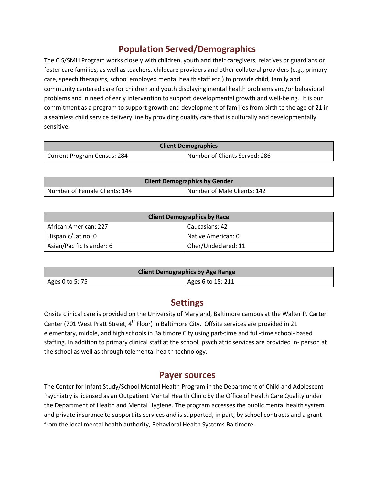# **Population Served/Demographics**

<span id="page-4-0"></span>The CIS/SMH Program works closely with children, youth and their caregivers, relatives or guardians or foster care families, as well as teachers, childcare providers and other collateral providers (e.g., primary care, speech therapists, school employed mental health staff etc.) to provide child, family and community centered care for children and youth displaying mental health problems and/or behavioral problems and in need of early intervention to support developmental growth and well-being. It is our commitment as a program to support growth and development of families from birth to the age of 21 in a seamless child service delivery line by providing quality care that is culturally and developmentally sensitive.

| <b>Client Demographics</b>  |                               |
|-----------------------------|-------------------------------|
| Current Program Census: 284 | Number of Clients Served: 286 |

| <b>Client Demographics by Gender</b> |                             |
|--------------------------------------|-----------------------------|
| Number of Female Clients: 144        | Number of Male Clients: 142 |

| <b>Client Demographics by Race</b> |                     |
|------------------------------------|---------------------|
| African American: 227              | Caucasians: 42      |
| Hispanic/Latino: 0                 | Native American: 0  |
| Asian/Pacific Islander: 6          | Oher/Undeclared: 11 |

| <b>Client Demographics by Age Range</b> |                    |
|-----------------------------------------|--------------------|
| Ages 0 to 5: 75                         | Ages 6 to $18:211$ |

# **Settings**

<span id="page-4-1"></span>Onsite clinical care is provided on the University of Maryland, Baltimore campus at the Walter P. Carter Center (701 West Pratt Street, 4<sup>th</sup> Floor) in Baltimore City. Offsite services are provided in 21 elementary, middle, and high schools in Baltimore City using part-time and full-time school- based staffing. In addition to primary clinical staff at the school, psychiatric services are provided in- person at the school as well as through telemental health technology.

## **Payer sources**

<span id="page-4-2"></span>The Center for Infant Study/School Mental Health Program in the Department of Child and Adolescent Psychiatry is licensed as an Outpatient Mental Health Clinic by the Office of Health Care Quality under the Department of Health and Mental Hygiene. The program accesses the public mental health system and private insurance to support its services and is supported, in part, by school contracts and a grant from the local mental health authority, Behavioral Health Systems Baltimore.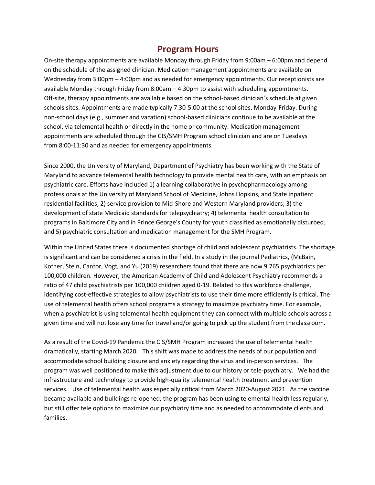## **Program Hours**

<span id="page-5-0"></span>On-site therapy appointments are available Monday through Friday from 9:00am – 6:00pm and depend on the schedule of the assigned clinician. Medication management appointments are available on Wednesday from 3:00pm – 4:00pm and as needed for emergency appointments. Our receptionists are available Monday through Friday from 8:00am – 4:30pm to assist with scheduling appointments. Off-site, therapy appointments are available based on the school-based clinician's schedule at given schools sites. Appointments are made typically 7:30-5:00 at the school sites, Monday-Friday. During non-school days (e.g., summer and vacation) school-based clinicians continue to be available at the school, via telemental health or directly in the home or community. Medication management appointments are scheduled through the CIS/SMH Program school clinician and are on Tuesdays from 8:00-11:30 and as needed for emergency appointments.

Since 2000, the University of Maryland, Department of Psychiatry has been working with the State of Maryland to advance telemental health technology to provide mental health care, with an emphasis on psychiatric care. Efforts have included 1) a learning collaborative in psychopharmacology among professionals at the University of Maryland School of Medicine, Johns Hopkins, and State inpatient residential facilities; 2) service provision to Mid-Shore and Western Maryland providers; 3) the development of state Medicaid standards for telepsychiatry; 4) telemental health consultation to programs in Baltimore City and in Prince George's County for youth classified as emotionally disturbed; and 5) psychiatric consultation and medication management for the SMH Program.

Within the United States there is documented shortage of child and adolescent psychiatrists. The shortage is significant and can be considered a crisis in the field. In a study in the journal Pediatrics, (McBain, Kofner, Stein, Cantor, Vogt, and Yu (2019) researchers found that there are now 9.765 psychiatrists per 100,000 children. However, the American Academy of Child and Adolescent Psychiatry recommends a ratio of 47 child psychiatrists per 100,000 children aged 0-19. Related to this workforce challenge, identifying cost-effective strategies to allow psychiatrists to use their time more efficiently is critical. The use of telemental health offers school programs a strategy to maximize psychiatry time. For example, when a psychiatrist is using telemental health equipment they can connect with multiple schools across a given time and will not lose any time for travel and/or going to pick up the student from the classroom.

As a result of the Covid-19 Pandemic the CIS/SMH Program increased the use of telemental health dramatically, starting March 2020. This shift was made to address the needs of our population and accommodate school building closure and anxiety regarding the virus and in-person services. The program was well positioned to make this adjustment due to our history or tele-psychiatry. We had the infrastructure and technology to provide high-quality telemental health treatment and prevention services. Use of telemental health was especially critical from March 2020-August 2021. As the vaccine became available and buildings re-opened, the program has been using telemental health less regularly, but still offer tele options to maximize our psychiatry time and as needed to accommodate clients and families.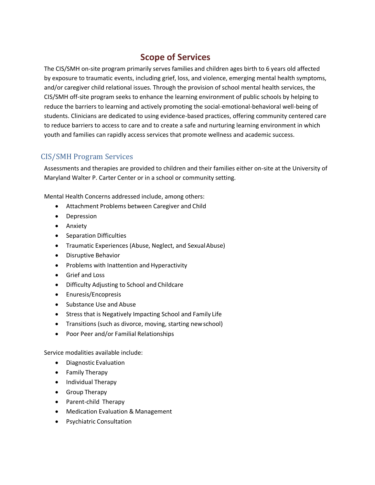# **Scope of Services**

<span id="page-6-0"></span>The CIS/SMH on-site program primarily serves families and children ages birth to 6 years old affected by exposure to traumatic events, including grief, loss, and violence, emerging mental health symptoms, and/or caregiver child relational issues. Through the provision of school mental health services, the CIS/SMH off-site program seeks to enhance the learning environment of public schools by helping to reduce the barriers to learning and actively promoting the social-emotional-behavioral well-being of students. Clinicians are dedicated to using evidence-based practices, offering community centered care to reduce barriers to access to care and to create a safe and nurturing learning environment in which youth and families can rapidly access services that promote wellness and academic success.

### <span id="page-6-1"></span>CIS/SMH Program Services

Assessments and therapies are provided to children and their families either on-site at the University of Maryland Walter P. Carter Center or in a school or community setting.

Mental Health Concerns addressed include, among others:

- Attachment Problems between Caregiver and Child
- Depression
- Anxiety
- Separation Difficulties
- Traumatic Experiences (Abuse, Neglect, and SexualAbuse)
- Disruptive Behavior
- Problems with Inattention and Hyperactivity
- Grief and Loss
- Difficulty Adjusting to School and Childcare
- Enuresis/Encopresis
- Substance Use and Abuse
- Stress that is Negatively Impacting School and Family Life
- Transitions (such as divorce, moving, starting newschool)
- Poor Peer and/or Familial Relationships

Service modalities available include:

- Diagnostic Evaluation
- Family Therapy
- Individual Therapy
- Group Therapy
- Parent-child Therapy
- Medication Evaluation & Management
- Psychiatric Consultation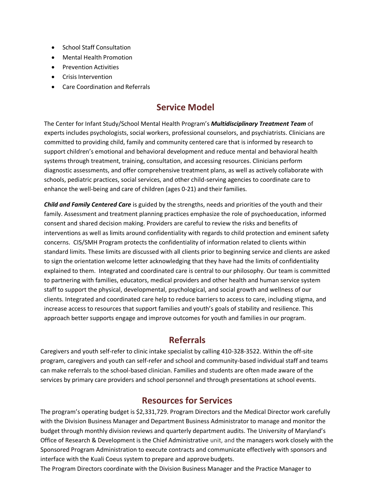- School Staff Consultation
- Mental Health Promotion
- Prevention Activities
- Crisis Intervention
- Care Coordination and Referrals

# **Service Model**

<span id="page-7-0"></span>The Center for Infant Study/School Mental Health Program's *Multidisciplinary Treatment Team* of experts includes psychologists, social workers, professional counselors, and psychiatrists. Clinicians are committed to providing child, family and community centered care that is informed by research to support children's emotional and behavioral development and reduce mental and behavioral health systems through treatment, training, consultation, and accessing resources. Clinicians perform diagnostic assessments, and offer comprehensive treatment plans, as well as actively collaborate with schools, pediatric practices, social services, and other child-serving agencies to coordinate care to enhance the well-being and care of children (ages 0-21) and their families.

*Child and Family Centered Care* is guided by the strengths, needs and priorities of the youth and their family. Assessment and treatment planning practices emphasize the role of psychoeducation, informed consent and shared decision making. Providers are careful to review the risks and benefits of interventions as well as limits around confidentiality with regards to child protection and eminent safety concerns. CIS/SMH Program protects the confidentiality of information related to clients within standard limits. These limits are discussed with all clients prior to beginning service and clients are asked to sign the orientation welcome letter acknowledging that they have had the limits of confidentiality explained to them. Integrated and coordinated care is central to our philosophy. Our team is committed to partnering with families, educators, medical providers and other health and human service system staff to support the physical, developmental, psychological, and social growth and wellness of our clients. Integrated and coordinated care help to reduce barriers to access to care, including stigma, and increase access to resources that support families and youth's goals of stability and resilience. This approach better supports engage and improve outcomes for youth and families in our program.

# **Referrals**

<span id="page-7-1"></span>Caregivers and youth self-refer to clinic intake specialist by calling 410-328-3522. Within the off-site program, caregivers and youth can self-refer and school and community-based individual staff and teams can make referrals to the school-based clinician. Families and students are often made aware of the services by primary care providers and school personnel and through presentations at school events.

# **Resources for Services**

<span id="page-7-2"></span>The program's operating budget is \$2,331,729. Program Directors and the Medical Director work carefully with the Division Business Manager and Department Business Administrator to manage and monitor the budget through monthly division reviews and quarterly department audits. The University of Maryland's Office of Research & Development is the Chief Administrative unit, and the managers work closely with the Sponsored Program Administration to execute contracts and communicate effectively with sponsors and interface with the Kuali Coeus system to prepare and approve budgets.

The Program Directors coordinate with the Division Business Manager and the Practice Manager to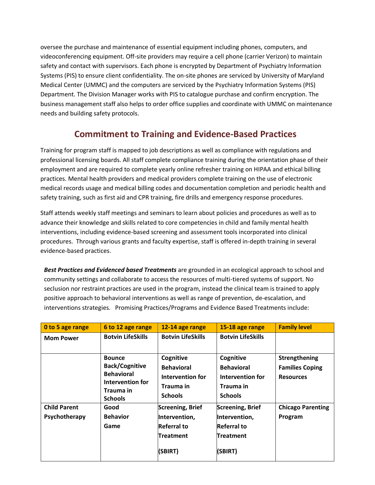oversee the purchase and maintenance of essential equipment including phones, computers, and videoconferencing equipment. Off-site providers may require a cell phone (carrier Verizon) to maintain safety and contact with supervisors. Each phone is encrypted by Department of Psychiatry Information Systems (PIS) to ensure client confidentiality. The on-site phones are serviced by University of Maryland Medical Center (UMMC) and the computers are serviced by the Psychiatry Information Systems (PIS) Department. The Division Manager works with PIS to catalogue purchase and confirm encryption. The business management staff also helps to order office supplies and coordinate with UMMC on maintenance needs and building safety protocols.

# **Commitment to Training and Evidence-Based Practices**

<span id="page-8-0"></span>Training for program staff is mapped to job descriptions as well as compliance with regulations and professional licensing boards. All staff complete compliance training during the orientation phase of their employment and are required to complete yearly online refresher training on HIPAA and ethical billing practices. Mental health providers and medical providers complete training on the use of electronic medical records usage and medical billing codes and documentation completion and periodic health and safety training, such as first aid and CPR training, fire drills and emergency response procedures.

Staff attends weekly staff meetings and seminars to learn about policies and procedures as well as to advance their knowledge and skills related to core competencies in child and family mental health interventions, including evidence-based screening and assessment tools incorporated into clinical procedures. Through various grants and faculty expertise, staff is offered in-depth training in several evidence-based practices.

*Best Practices and Evidenced based Treatments* are grounded in an ecological approach to school and community settings and collaborate to access the resources of multi-tiered systems of support. No seclusion nor restraint practices are used in the program, instead the clinical team is trained to apply positive approach to behavioral interventions as well as range of prevention, de-escalation, and interventions strategies. Promising Practices/Programs and Evidence Based Treatments include:

| O to 5 age range                     | 6 to 12 age range                                                                                              | 12-14 age range                                                                               | 15-18 age range                                                                               | <b>Family level</b>                                         |
|--------------------------------------|----------------------------------------------------------------------------------------------------------------|-----------------------------------------------------------------------------------------------|-----------------------------------------------------------------------------------------------|-------------------------------------------------------------|
| <b>Mom Power</b>                     | <b>Botvin LifeSkills</b>                                                                                       | <b>Botvin LifeSkills</b>                                                                      | <b>Botvin LifeSkills</b>                                                                      |                                                             |
|                                      | <b>Bounce</b><br><b>Back/Cognitive</b><br><b>Behavioral</b><br>Intervention for<br>Trauma in<br><b>Schools</b> | Cognitive<br><b>Behavioral</b><br>Intervention for<br>Trauma in<br><b>Schools</b>             | Cognitive<br><b>Behavioral</b><br>Intervention for<br>Trauma in<br><b>Schools</b>             | Strengthening<br><b>Families Coping</b><br><b>Resources</b> |
| <b>Child Parent</b><br>Psychotherapy | Good<br><b>Behavior</b><br>Game                                                                                | <b>Screening, Brief</b><br>Intervention,<br><b>Referral to</b><br><b>Treatment</b><br>(SBIRT) | <b>Screening, Brief</b><br>Intervention,<br><b>Referral to</b><br><b>Treatment</b><br>(SBIRT) | <b>Chicago Parenting</b><br>Program                         |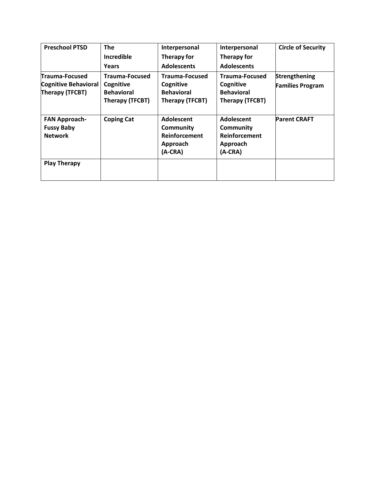| <b>Preschool PTSD</b>                                       | <b>The</b>                                        | Interpersonal                                                     | Interpersonal                                                            | <b>Circle of Security</b> |
|-------------------------------------------------------------|---------------------------------------------------|-------------------------------------------------------------------|--------------------------------------------------------------------------|---------------------------|
|                                                             | Incredible                                        | Therapy for                                                       | Therapy for                                                              |                           |
|                                                             | Years                                             | <b>Adolescents</b>                                                | <b>Adolescents</b>                                                       |                           |
| Trauma-Focused                                              | <b>Trauma-Focused</b>                             | <b>Trauma-Focused</b>                                             | <b>Trauma-Focused</b>                                                    | Strengthening             |
| <b>Cognitive Behavioral</b><br>Therapy (TFCBT)              | Cognitive<br><b>Behavioral</b><br>Therapy (TFCBT) | Cognitive<br><b>Behavioral</b><br>Therapy (TFCBT)                 | Cognitive<br><b>Behavioral</b><br>Therapy (TFCBT)                        | <b>Families Program</b>   |
| <b>FAN Approach-</b><br><b>Fussy Baby</b><br><b>Network</b> | <b>Coping Cat</b>                                 | Adolescent<br>Community<br>Reinforcement<br>Approach<br>$(A-CRA)$ | Adolescent<br><b>Community</b><br>Reinforcement<br>Approach<br>$(A-CRA)$ | <b>Parent CRAFT</b>       |
| <b>Play Therapy</b>                                         |                                                   |                                                                   |                                                                          |                           |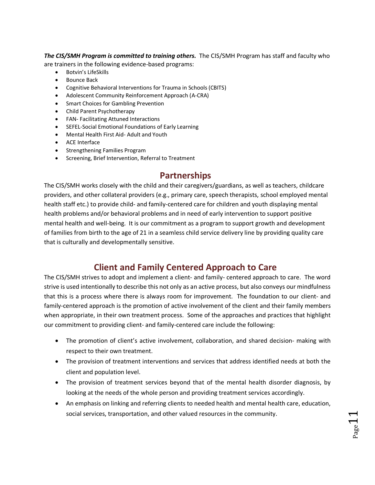*The CIS/SMH Program is committed to training others.* The CIS/SMH Program has staff and faculty who are trainers in the following evidence-based programs:

- Botvin's LifeSkills
- Bounce Back
- Cognitive Behavioral Interventions for Trauma in Schools (CBITS)
- Adolescent Community Reinforcement Approach (A-CRA)
- Smart Choices for Gambling Prevention
- Child Parent Psychotherapy
- FAN- Facilitating Attuned Interactions
- SEFEL-Social Emotional Foundations of Early Learning
- Mental Health First Aid- Adult and Youth
- ACE Interface
- Strengthening Families Program
- Screening, Brief Intervention, Referral to Treatment

# **Partnerships**

<span id="page-10-0"></span>The CIS/SMH works closely with the child and their caregivers/guardians, as well as teachers, childcare providers, and other collateral providers (e.g., primary care, speech therapists, school employed mental health staff etc.) to provide child- and family-centered care for children and youth displaying mental health problems and/or behavioral problems and in need of early intervention to support positive mental health and well-being. It is our commitment as a program to support growth and development of families from birth to the age of 21 in a seamless child service delivery line by providing quality care that is culturally and developmentally sensitive.

# **Client and Family Centered Approach to Care**

<span id="page-10-1"></span>The CIS/SMH strives to adopt and implement a client- and family- centered approach to care. The word strive is used intentionally to describe this not only as an active process, but also conveys our mindfulness that this is a process where there is always room for improvement. The foundation to our client- and family-centered approach is the promotion of active involvement of the client and their family members when appropriate, in their own treatment process. Some of the approaches and practices that highlight our commitment to providing client- and family-centered care include the following:

- The promotion of client's active involvement, collaboration, and shared decision- making with respect to their own treatment.
- The provision of treatment interventions and services that address identified needs at both the client and population level.
- The provision of treatment services beyond that of the mental health disorder diagnosis, by looking at the needs of the whole person and providing treatment services accordingly.
- An emphasis on linking and referring clients to needed health and mental health care, education, social services, transportation, and other valued resources in the community.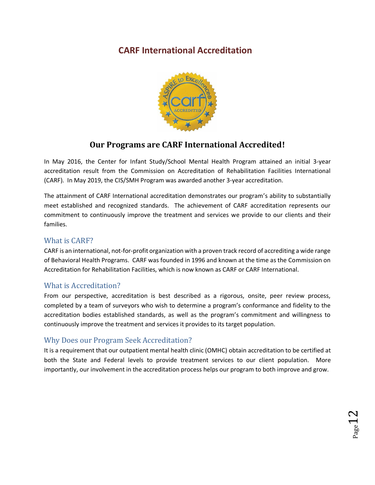# <span id="page-11-0"></span>**CARF International Accreditation**



# **Our Programs are CARF International Accredited!**

In May 2016, the Center for Infant Study/School Mental Health Program attained an initial 3-year accreditation result from the Commission on Accreditation of Rehabilitation Facilities International (CARF). In May 2019, the CIS/SMH Program was awarded another 3-year accreditation.

The attainment of CARF International accreditation demonstrates our program's ability to substantially meet established and recognized standards. The achievement of CARF accreditation represents our commitment to continuously improve the treatment and services we provide to our clients and their families.

### <span id="page-11-1"></span>What is CARF?

CARF is an international, not-for-profit organization with a proven track record of accrediting a wide range of Behavioral Health Programs. CARF was founded in 1996 and known at the time as the Commission on Accreditation for Rehabilitation Facilities, which is now known as CARF or CARF International.

### <span id="page-11-2"></span>What is Accreditation?

From our perspective, accreditation is best described as a rigorous, onsite, peer review process, completed by a team of surveyors who wish to determine a program's conformance and fidelity to the accreditation bodies established standards, as well as the program's commitment and willingness to continuously improve the treatment and services it provides to its target population.

### <span id="page-11-3"></span>Why Does our Program Seek Accreditation?

It is a requirement that our outpatient mental health clinic (OMHC) obtain accreditation to be certified at both the State and Federal levels to provide treatment services to our client population. More importantly, our involvement in the accreditation process helps our program to both improve and grow.

 $_{\rm Page}$ 12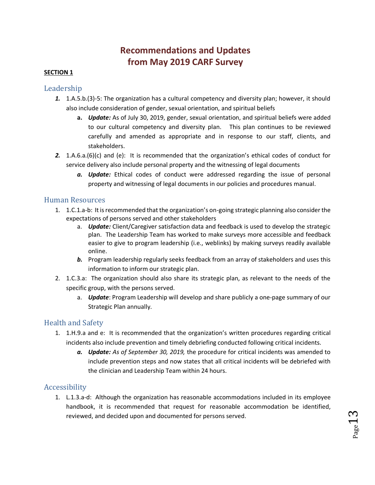# **Recommendations and Updates from May 2019 CARF Survey**

#### <span id="page-12-1"></span><span id="page-12-0"></span>**SECTION 1**

#### <span id="page-12-2"></span>Leadership

- *1.* 1.A.5.b.(3)-5: The organization has a cultural competency and diversity plan; however, it should also include consideration of gender, sexual orientation, and spiritual beliefs
	- **a.** *Update:* As of July 30, 2019, gender, sexual orientation, and spiritual beliefs were added to our cultural competency and diversity plan. This plan continues to be reviewed carefully and amended as appropriate and in response to our staff, clients, and stakeholders.
- *2.* 1.A.6.a.(6)(c) and (e): It is recommended that the organization's ethical codes of conduct for service delivery also include personal property and the witnessing of legal documents
	- *a. Update:* Ethical codes of conduct were addressed regarding the issue of personal property and witnessing of legal documents in our policies and procedures manual.

#### <span id="page-12-3"></span>Human Resources

- 1. 1.C.1.a-b: It is recommended that the organization's on-going strategic planning also consider the expectations of persons served and other stakeholders
	- a. *Update:* Client/Caregiver satisfaction data and feedback is used to develop the strategic plan. The Leadership Team has worked to make surveys more accessible and feedback easier to give to program leadership (i.e., weblinks) by making surveys readily available online.
	- *b.* Program leadership regularly seeks feedback from an array of stakeholders and uses this information to inform our strategic plan.
- 2. 1.C.3.a: The organization should also share its strategic plan, as relevant to the needs of the specific group, with the persons served.
	- a. *Update*: Program Leadership will develop and share publicly a one-page summary of our Strategic Plan annually.

#### <span id="page-12-4"></span>Health and Safety

- 1. 1.H.9.a and e: It is recommended that the organization's written procedures regarding critical incidents also include prevention and timely debriefing conducted following critical incidents.
	- *a. Update: As of September 30, 2019,* the procedure for critical incidents was amended to include prevention steps and now states that all critical incidents will be debriefed with the clinician and Leadership Team within 24 hours.

#### <span id="page-12-5"></span>Accessibility

1. L.1.3.a-d: Although the organization has reasonable accommodations included in its employee handbook, it is recommended that request for reasonable accommodation be identified, reviewed, and decided upon and documented for persons served.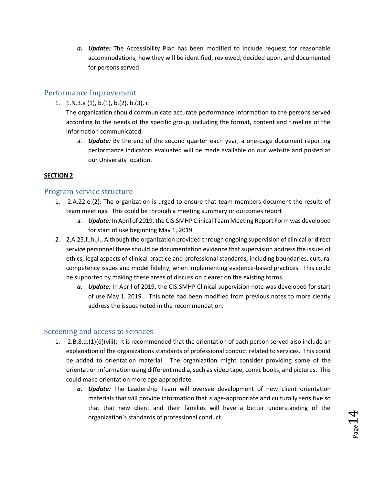*a. Update:* The Accessibility Plan has been modified to include request for reasonable accommodations, how they will be identified, reviewed, decided upon, and documented for persons served.

#### <span id="page-13-0"></span>Performance Improvement

1. 1.N.3.a (1), b.(1), b.(2), b.(3), c

The organization should communicate accurate performance information to the persons served according to the needs of the specific group, including the format, content and timeline of the information communicated.

a. *Update:* By the end of the second quarter each year, a one-page document reporting performance indicators evaluated will be made available on our website and posted at our University location.

#### **SECTION 2**

#### <span id="page-13-1"></span>Program service structure

- 1. 2.A.22.e.(2): The organization is urged to ensure that team members document the results of team meetings. This could be through a meeting summary or outcomes report
	- a. *Update:* In April of 2019, the CIS.SMHP Clinical Team Meeting Report Form was developed for start of use beginning May 1, 2019.
- 2. 2.A.25.f.,h.,I.: Although the organization provided through ongoing supervision of clinical or direct service personnel there should be documentation evidence that supervision address the issues of ethics, legal aspects of clinical practice and professional standards, including boundaries, cultural competency issues and model fidelity, when implementing evidence-based practices. This could be supported by making these areas of discussion clearer on the existing forms.
	- *a. Update:* In April of 2019, the CIS.SMHP Clinical supervision note was developed for start of use May 1, 2019. This note had been modified from previous notes to more clearly address the issues noted in the recommendation.

#### <span id="page-13-2"></span>Screening and access to services

- 1. 2.B.8.d.(1)(d)(viii): It is recommended that the orientation of each person served also include an explanation of the organizations standards of professional conduct related to services. This could be added to orientation material. The organization might consider providing some of the orientation information using different media, such as video tape, comic books, and pictures. This could make orientation more age appropriate.
	- *a. Update:* The Leadership Team will oversee development of new client orientation materials that will provide information that is age-appropriate and culturally sensitive so that that new client and their families will have a better understanding of the organization's standards of professional conduct.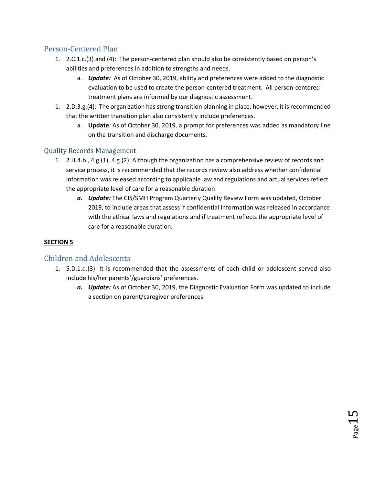### <span id="page-14-0"></span>Person-Centered Plan

- 1. 2.C.1.c.(3) and (4): The person-centered plan should also be consistently based on person's abilities and preferences in addition to strengths and needs.
	- a. *Update:* As of October 30, 2019, ability and preferences were added to the diagnostic evaluation to be used to create the person-centered treatment. All person-centered treatment plans are informed by our diagnostic assessment.
- 1. 2.D.3.g.(4): The organization has strong transition planning in place; however, it is recommended that the written transition plan also consistently include preferences.
	- a. **Update***:* As of October 30, 2019, a prompt for preferences was added as mandatory line on the transition and discharge documents.

### <span id="page-14-1"></span>Quality Records Management

- 1. 2.H.4.b., 4.g.(1), 4.g.(2): Although the organization has a comprehensive review of records and service process, it is recommended that the records review also address whether confidential information was released according to applicable law and regulations and actual services reflect the appropriate level of care for a reasonable duration.
	- *a. Update:* The CIS/SMH Program Quarterly Quality Review Form was updated, October 2019, to include areas that assess if confidential information was released in accordance with the ethical laws and regulations and if treatment reflects the appropriate level of care for a reasonable duration.

### **SECTION 5**

### <span id="page-14-2"></span>Children and Adolescents

- 1. 5.D.1.q.(3): It is recommended that the assessments of each child or adolescent served also include his/her parents'/guardians' preferences.
	- *a. Update:* As of October 30, 2019, the Diagnostic Evaluation Form was updated to include a section on parent/caregiver preferences.

 $_{\rm Page}15$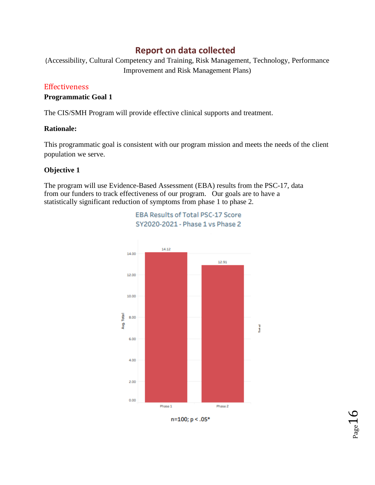# **Report on data collected**

<span id="page-15-0"></span>(Accessibility, Cultural Competency and Training, Risk Management, Technology, Performance Improvement and Risk Management Plans)

#### <span id="page-15-1"></span>Effectiveness

#### **Programmatic Goal 1**

The CIS/SMH Program will provide effective clinical supports and treatment.

#### **Rationale:**

This programmatic goal is consistent with our program mission and meets the needs of the client population we serve.

> **EBA Results of Total PSC-17 Score** SY2020-2021 - Phase 1 vs Phase 2

#### **Objective 1**

The program will use Evidence-Based Assessment (EBA) results from the PSC-17, data from our funders to track effectiveness of our program. Our goals are to have a statistically significant reduction of symptoms from phase 1 to phase 2.



n=100; p < .05\*

 $P_{\text{age}}16$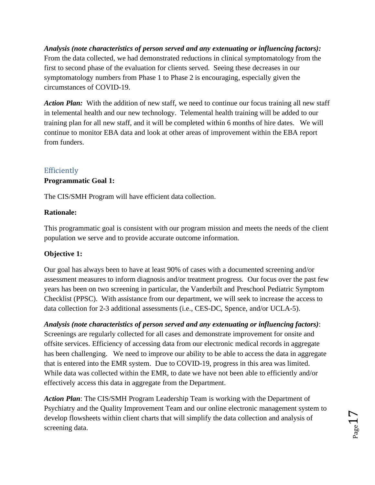*Analysis (note characteristics of person served and any extenuating or influencing factors):*  From the data collected, we had demonstrated reductions in clinical symptomatology from the first to second phase of the evaluation for clients served. Seeing these decreases in our symptomatology numbers from Phase 1 to Phase 2 is encouraging, especially given the circumstances of COVID-19.

Action Plan: With the addition of new staff, we need to continue our focus training all new staff in telemental health and our new technology. Telemental health training will be added to our training plan for all new staff, and it will be completed within 6 months of hire dates. We will continue to monitor EBA data and look at other areas of improvement within the EBA report from funders.

### <span id="page-16-0"></span>Efficiently

#### **Programmatic Goal 1:**

The CIS/SMH Program will have efficient data collection.

#### **Rationale:**

This programmatic goal is consistent with our program mission and meets the needs of the client population we serve and to provide accurate outcome information.

#### **Objective 1:**

Our goal has always been to have at least 90% of cases with a documented screening and/or assessment measures to inform diagnosis and/or treatment progress. Our focus over the past few years has been on two screening in particular, the Vanderbilt and Preschool Pediatric Symptom Checklist (PPSC). With assistance from our department, we will seek to increase the access to data collection for 2-3 additional assessments (i.e., CES-DC, Spence, and/or UCLA-5).

*Analysis (note characteristics of person served and any extenuating or influencing factors)*: Screenings are regularly collected for all cases and demonstrate improvement for onsite and offsite services. Efficiency of accessing data from our electronic medical records in aggregate has been challenging. We need to improve our ability to be able to access the data in aggregate that is entered into the EMR system. Due to COVID-19, progress in this area was limited. While data was collected within the EMR, to date we have not been able to efficiently and/or effectively access this data in aggregate from the Department.

*Action Plan*: The CIS/SMH Program Leadership Team is working with the Department of Psychiatry and the Quality Improvement Team and our online electronic management system to develop flowsheets within client charts that will simplify the data collection and analysis of screening data.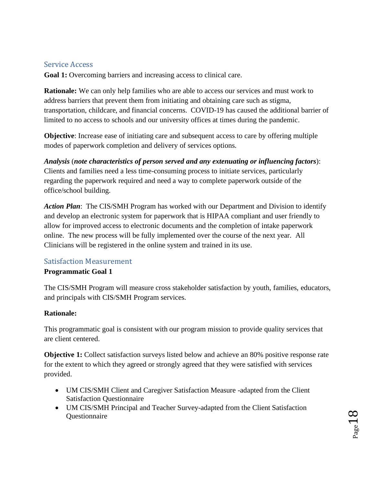### <span id="page-17-0"></span>Service Access

**Goal 1:** Overcoming barriers and increasing access to clinical care.

**Rationale:** We can only help families who are able to access our services and must work to address barriers that prevent them from initiating and obtaining care such as stigma, transportation, childcare, and financial concerns. COVID-19 has caused the additional barrier of limited to no access to schools and our university offices at times during the pandemic.

**Objective**: Increase ease of initiating care and subsequent access to care by offering multiple modes of paperwork completion and delivery of services options.

*Analysis* (*note characteristics of person served and any extenuating or influencing factors*): Clients and families need a less time-consuming process to initiate services, particularly regarding the paperwork required and need a way to complete paperwork outside of the office/school building.

*Action Plan*: The CIS/SMH Program has worked with our Department and Division to identify and develop an electronic system for paperwork that is HIPAA compliant and user friendly to allow for improved access to electronic documents and the completion of intake paperwork online. The new process will be fully implemented over the course of the next year. All Clinicians will be registered in the online system and trained in its use.

#### <span id="page-17-1"></span>Satisfaction Measurement

#### **Programmatic Goal 1**

The CIS/SMH Program will measure cross stakeholder satisfaction by youth, families, educators, and principals with CIS/SMH Program services.

#### **Rationale:**

This programmatic goal is consistent with our program mission to provide quality services that are client centered.

**Objective 1:** Collect satisfaction surveys listed below and achieve an 80% positive response rate for the extent to which they agreed or strongly agreed that they were satisfied with services provided.

- UM CIS/SMH Client and Caregiver Satisfaction Measure -adapted from the Client Satisfaction Questionnaire
- UM CIS/SMH Principal and Teacher Survey-adapted from the Client Satisfaction **Ouestionnaire**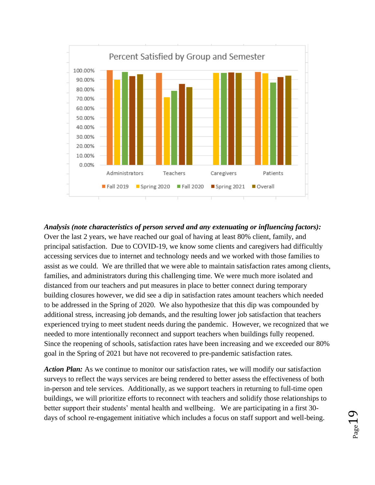

*Analysis (note characteristics of person served and any extenuating or influencing factors):* Over the last 2 years, we have reached our goal of having at least 80% client, family, and principal satisfaction. Due to COVID-19, we know some clients and caregivers had difficultly accessing services due to internet and technology needs and we worked with those families to assist as we could. We are thrilled that we were able to maintain satisfaction rates among clients, families, and administrators during this challenging time. We were much more isolated and distanced from our teachers and put measures in place to better connect during temporary building closures however, we did see a dip in satisfaction rates amount teachers which needed to be addressed in the Spring of 2020. We also hypothesize that this dip was compounded by additional stress, increasing job demands, and the resulting lower job satisfaction that teachers experienced trying to meet student needs during the pandemic. However, we recognized that we needed to more intentionally reconnect and support teachers when buildings fully reopened. Since the reopening of schools, satisfaction rates have been increasing and we exceeded our 80% goal in the Spring of 2021 but have not recovered to pre-pandemic satisfaction rates.

*Action Plan:* As we continue to monitor our satisfaction rates, we will modify our satisfaction surveys to reflect the ways services are being rendered to better assess the effectiveness of both in-person and tele services. Additionally, as we support teachers in returning to full-time open buildings, we will prioritize efforts to reconnect with teachers and solidify those relationships to better support their students' mental health and wellbeing. We are participating in a first 30 days of school re-engagement initiative which includes a focus on staff support and well-being.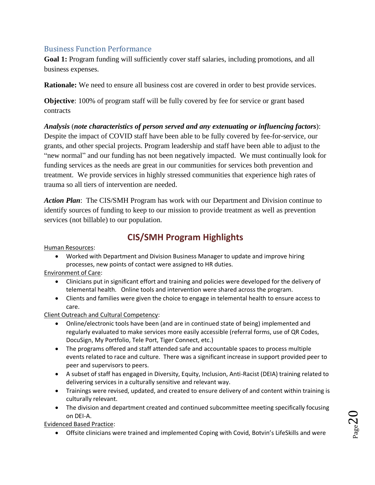### Business Function Performance

**Goal 1:** Program funding will sufficiently cover staff salaries, including promotions, and all business expenses.

**Rationale:** We need to ensure all business cost are covered in order to best provide services.

**Objective**: 100% of program staff will be fully covered by fee for service or grant based contracts

*Analysis* (*note characteristics of person served and any extenuating or influencing factors*): Despite the impact of COVID staff have been able to be fully covered by fee-for-service, our grants, and other special projects. Program leadership and staff have been able to adjust to the "new normal" and our funding has not been negatively impacted. We must continually look for funding services as the needs are great in our communities for services both prevention and treatment. We provide services in highly stressed communities that experience high rates of trauma so all tiers of intervention are needed.

*Action Plan*: The CIS/SMH Program has work with our Department and Division continue to identify sources of funding to keep to our mission to provide treatment as well as prevention services (not billable) to our population.

# **CIS/SMH Program Highlights**

<span id="page-19-0"></span>Human Resources:

• Worked with Department and Division Business Manager to update and improve hiring processes, new points of contact were assigned to HR duties.

Environment of Care:

- Clinicians put in significant effort and training and policies were developed for the delivery of telemental health. Online tools and intervention were shared across the program.
- Clients and families were given the choice to engage in telemental health to ensure access to care.

Client Outreach and Cultural Competency:

- Online/electronic tools have been (and are in continued state of being) implemented and regularly evaluated to make services more easily accessible (referral forms, use of QR Codes, DocuSign, My Portfolio, Tele Port, Tiger Connect, etc.)
- The programs offered and staff attended safe and accountable spaces to process multiple events related to race and culture. There was a significant increase in support provided peer to peer and supervisors to peers.
- A subset of staff has engaged in Diversity, Equity, Inclusion, Anti-Racist (DEIA) training related to delivering services in a culturally sensitive and relevant way.
- Trainings were revised, updated, and created to ensure delivery of and content within training is culturally relevant.
- The division and department created and continued subcommittee meeting specifically focusing on DEI-A.

Evidenced Based Practice:

• Offsite clinicians were trained and implemented Coping with Covid, Botvin's LifeSkills and were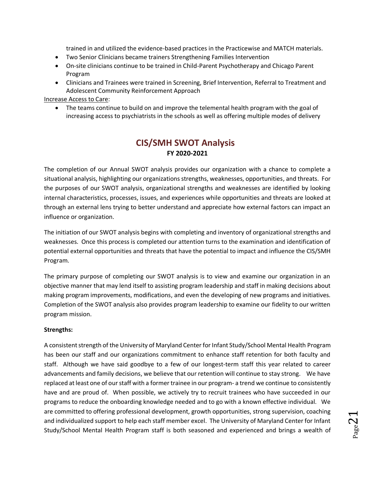trained in and utilized the evidence-based practices in the Practicewise and MATCH materials.

- Two Senior Clinicians became trainers Strengthening Families Intervention
- On-site clinicians continue to be trained in Child-Parent Psychotherapy and Chicago Parent Program
- Clinicians and Trainees were trained in Screening, Brief Intervention, Referral to Treatment and Adolescent Community Reinforcement Approach

#### Increase Access to Care:

• The teams continue to build on and improve the telemental health program with the goal of increasing access to psychiatrists in the schools as well as offering multiple modes of delivery

## **CIS/SMH SWOT Analysis FY 2020-2021**

<span id="page-20-0"></span>The completion of our Annual SWOT analysis provides our organization with a chance to complete a situational analysis, highlighting our organizations strengths, weaknesses, opportunities, and threats. For the purposes of our SWOT analysis, organizational strengths and weaknesses are identified by looking internal characteristics, processes, issues, and experiences while opportunities and threats are looked at through an external lens trying to better understand and appreciate how external factors can impact an influence or organization.

The initiation of our SWOT analysis begins with completing and inventory of organizational strengths and weaknesses. Once this process is completed our attention turns to the examination and identification of potential external opportunities and threats that have the potential to impact and influence the CIS/SMH Program.

The primary purpose of completing our SWOT analysis is to view and examine our organization in an objective manner that may lend itself to assisting program leadership and staff in making decisions about making program improvements, modifications, and even the developing of new programs and initiatives. Completion of the SWOT analysis also provides program leadership to examine our fidelity to our written program mission.

#### **Strengths:**

A consistent strength of the University of Maryland Center for Infant Study/School Mental Health Program has been our staff and our organizations commitment to enhance staff retention for both faculty and staff. Although we have said goodbye to a few of our longest-term staff this year related to career advancements and family decisions, we believe that our retention will continue to stay strong. We have replaced at least one of our staff with a former trainee in our program- a trend we continue to consistently have and are proud of. When possible, we actively try to recruit trainees who have succeeded in our programs to reduce the onboarding knowledge needed and to go with a known effective individual. We are committed to offering professional development, growth opportunities, strong supervision, coaching and individualized support to help each staff member excel. The University of Maryland Center for Infant Study/School Mental Health Program staff is both seasoned and experienced and brings a wealth of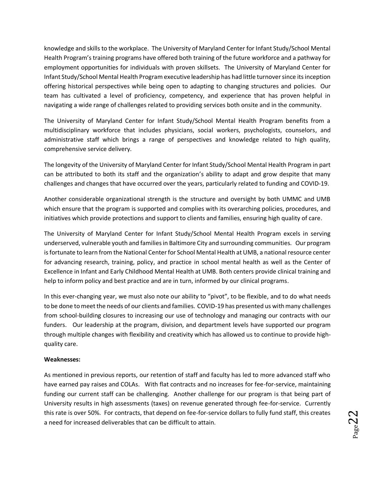knowledge and skills to the workplace. The University of Maryland Center for Infant Study/School Mental Health Program's training programs have offered both training of the future workforce and a pathway for employment opportunities for individuals with proven skillsets. The University of Maryland Center for Infant Study/School Mental Health Program executive leadership has had little turnover since its inception offering historical perspectives while being open to adapting to changing structures and policies. Our team has cultivated a level of proficiency, competency, and experience that has proven helpful in navigating a wide range of challenges related to providing services both onsite and in the community.

The University of Maryland Center for Infant Study/School Mental Health Program benefits from a multidisciplinary workforce that includes physicians, social workers, psychologists, counselors, and administrative staff which brings a range of perspectives and knowledge related to high quality, comprehensive service delivery.

The longevity of the University of Maryland Center for Infant Study/School Mental Health Program in part can be attributed to both its staff and the organization's ability to adapt and grow despite that many challenges and changes that have occurred over the years, particularly related to funding and COVID-19.

Another considerable organizational strength is the structure and oversight by both UMMC and UMB which ensure that the program is supported and complies with its overarching policies, procedures, and initiatives which provide protections and support to clients and families, ensuring high quality of care.

The University of Maryland Center for Infant Study/School Mental Health Program excels in serving underserved, vulnerable youth and families in Baltimore City and surrounding communities. Our program isfortunate to learn from the National Center for School Mental Health at UMB, a national resource center for advancing research, training, policy, and practice in school mental health as well as the Center of Excellence in Infant and Early Childhood Mental Health at UMB. Both centers provide clinical training and help to inform policy and best practice and are in turn, informed by our clinical programs.

In this ever-changing year, we must also note our ability to "pivot", to be flexible, and to do what needs to be done to meet the needs of our clients and families. COVID-19 has presented us with many challenges from school-building closures to increasing our use of technology and managing our contracts with our funders. Our leadership at the program, division, and department levels have supported our program through multiple changes with flexibility and creativity which has allowed us to continue to provide highquality care.

#### **Weaknesses:**

As mentioned in previous reports, our retention of staff and faculty has led to more advanced staff who have earned pay raises and COLAs. With flat contracts and no increases for fee-for-service, maintaining funding our current staff can be challenging. Another challenge for our program is that being part of University results in high assessments (taxes) on revenue generated through fee-for-service. Currently this rate is over 50%. For contracts, that depend on fee-for-service dollars to fully fund staff, this creates a need for increased deliverables that can be difficult to attain.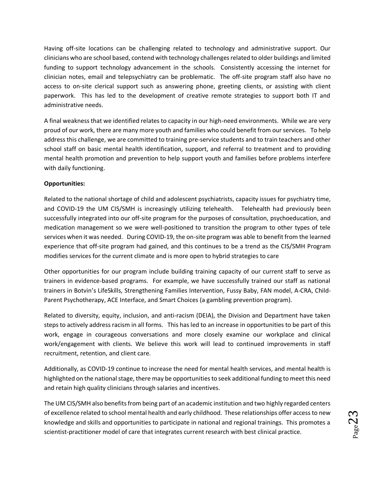Having off-site locations can be challenging related to technology and administrative support. Our clinicians who are school based, contend with technology challenges related to older buildings and limited funding to support technology advancement in the schools. Consistently accessing the internet for clinician notes, email and telepsychiatry can be problematic. The off-site program staff also have no access to on-site clerical support such as answering phone, greeting clients, or assisting with client paperwork. This has led to the development of creative remote strategies to support both IT and administrative needs.

A final weakness that we identified relates to capacity in our high-need environments. While we are very proud of our work, there are many more youth and families who could benefit from our services. To help address this challenge, we are committed to training pre-service students and to train teachers and other school staff on basic mental health identification, support, and referral to treatment and to providing mental health promotion and prevention to help support youth and families before problems interfere with daily functioning.

#### **Opportunities:**

Related to the national shortage of child and adolescent psychiatrists, capacity issues for psychiatry time, and COVID-19 the UM CIS/SMH is increasingly utilizing telehealth. Telehealth had previously been successfully integrated into our off-site program for the purposes of consultation, psychoeducation, and medication management so we were well-positioned to transition the program to other types of tele services when it was needed. During COVID-19, the on-site program was able to benefit from the learned experience that off-site program had gained, and this continues to be a trend as the CIS/SMH Program modifies services for the current climate and is more open to hybrid strategies to care

Other opportunities for our program include building training capacity of our current staff to serve as trainers in evidence-based programs. For example, we have successfully trained our staff as national trainers in Botvin's LifeSkills, Strengthening Families Intervention, Fussy Baby, FAN model, A-CRA, Child-Parent Psychotherapy, ACE Interface, and Smart Choices (a gambling prevention program).

Related to diversity, equity, inclusion, and anti-racism (DEIA), the Division and Department have taken steps to actively address racism in all forms. This has led to an increase in opportunities to be part of this work, engage in courageous conversations and more closely examine our workplace and clinical work/engagement with clients. We believe this work will lead to continued improvements in staff recruitment, retention, and client care.

Additionally, as COVID-19 continue to increase the need for mental health services, and mental health is highlighted on the national stage, there may be opportunities to seek additional funding to meet this need and retain high quality clinicians through salaries and incentives.

The UM CIS/SMH also benefits from being part of an academic institution and two highly regarded centers of excellence related to school mental health and early childhood. These relationships offer access to new knowledge and skills and opportunities to participate in national and regional trainings. This promotes a scientist-practitioner model of care that integrates current research with best clinical practice.